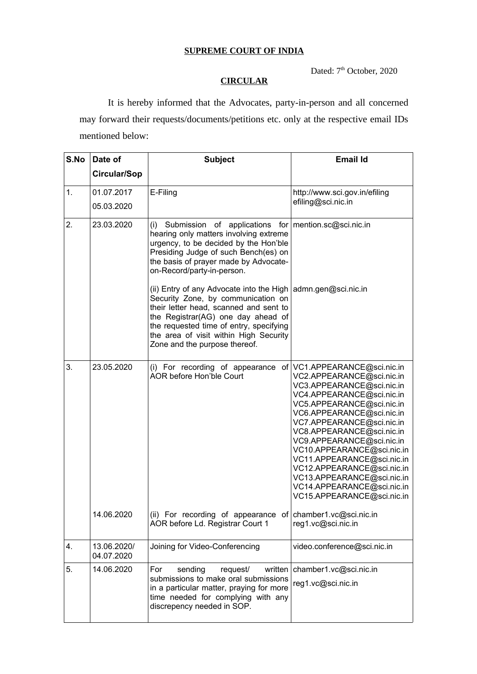## **SUPREME COURT OF INDIA**

Dated: 7<sup>th</sup> October, 2020

## **CIRCULAR**

It is hereby informed that the Advocates, party-in-person and all concerned may forward their requests/documents/petitions etc. only at the respective email IDs mentioned below:

| S.No | Date of                   | <b>Subject</b>                                                                                                                                                                                                                                                                                                    | <b>Email Id</b>                                                                                                                                                                                                                                                                                                                                                                                                                                            |
|------|---------------------------|-------------------------------------------------------------------------------------------------------------------------------------------------------------------------------------------------------------------------------------------------------------------------------------------------------------------|------------------------------------------------------------------------------------------------------------------------------------------------------------------------------------------------------------------------------------------------------------------------------------------------------------------------------------------------------------------------------------------------------------------------------------------------------------|
|      | <b>Circular/Sop</b>       |                                                                                                                                                                                                                                                                                                                   |                                                                                                                                                                                                                                                                                                                                                                                                                                                            |
| 1.   | 01.07.2017<br>05.03.2020  | E-Filing                                                                                                                                                                                                                                                                                                          | http://www.sci.gov.in/efiling<br>efiling@sci.nic.in                                                                                                                                                                                                                                                                                                                                                                                                        |
| 2.   | 23.03.2020                | (i)<br>Submission of applications for mention.sc@sci.nic.in<br>hearing only matters involving extreme<br>urgency, to be decided by the Hon'ble<br>Presiding Judge of such Bench(es) on<br>the basis of prayer made by Advocate-<br>on-Record/party-in-person.                                                     |                                                                                                                                                                                                                                                                                                                                                                                                                                                            |
|      |                           | (ii) Entry of any Advocate into the High $\alpha$ admn.gen@sci.nic.in<br>Security Zone, by communication on<br>their letter head, scanned and sent to<br>the Registrar(AG) one day ahead of<br>the requested time of entry, specifying<br>the area of visit within High Security<br>Zone and the purpose thereof. |                                                                                                                                                                                                                                                                                                                                                                                                                                                            |
| 3.   | 23.05.2020                | (i) For recording of appearance<br><b>AOR before Hon'ble Court</b>                                                                                                                                                                                                                                                | of   VC1.APPEARANCE@sci.nic.in<br>VC2.APPEARANCE@sci.nic.in<br>VC3.APPEARANCE@sci.nic.in<br>VC4.APPEARANCE@sci.nic.in<br>VC5.APPEARANCE@sci.nic.in<br>VC6.APPEARANCE@sci.nic.in<br>VC7.APPEARANCE@sci.nic.in<br>VC8.APPEARANCE@sci.nic.in<br>VC9.APPEARANCE@sci.nic.in<br>VC10.APPEARANCE@sci.nic.in<br>VC11.APPEARANCE@sci.nic.in<br>VC12.APPEARANCE@sci.nic.in<br>VC13.APPEARANCE@sci.nic.in<br>VC14.APPEARANCE@sci.nic.in<br>VC15.APPEARANCE@sci.nic.in |
|      | 14.06.2020                | (ii) For recording of appearance of chamber1.vc@sci.nic.in<br>AOR before Ld. Registrar Court 1                                                                                                                                                                                                                    | reg1.vc@sci.nic.in                                                                                                                                                                                                                                                                                                                                                                                                                                         |
| 4.   | 13.06.2020/<br>04.07.2020 | Joining for Video-Conferencing                                                                                                                                                                                                                                                                                    | video.conference@sci.nic.in                                                                                                                                                                                                                                                                                                                                                                                                                                |
| 5.   | 14.06.2020                | sending<br>written<br>For<br>request/<br>submissions to make oral submissions<br>in a particular matter, praying for more<br>time needed for complying with any<br>discrepency needed in SOP.                                                                                                                     | chamber1.vc@sci.nic.in<br>reg1.vc@sci.nic.in                                                                                                                                                                                                                                                                                                                                                                                                               |